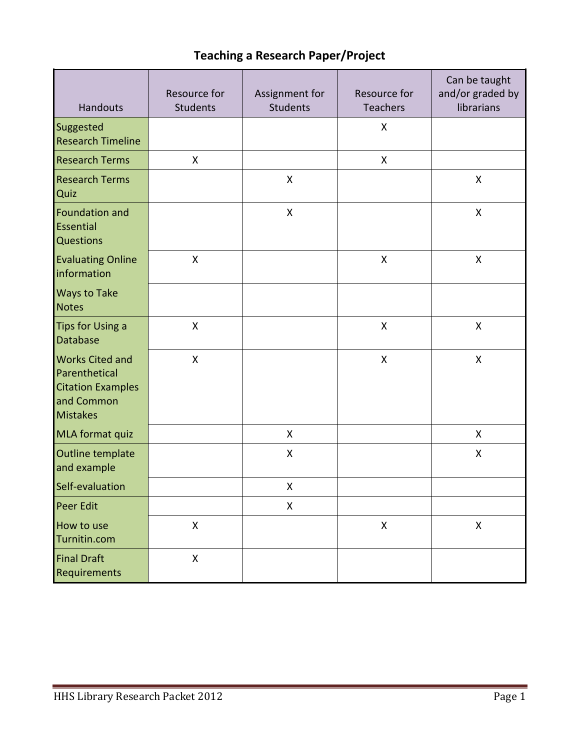## **Teaching a Research Paper/Project**

| <b>Handouts</b>                                                                                      | Resource for<br><b>Students</b> | Assignment for<br><b>Students</b> | Resource for<br><b>Teachers</b> | Can be taught<br>and/or graded by<br>librarians |  |
|------------------------------------------------------------------------------------------------------|---------------------------------|-----------------------------------|---------------------------------|-------------------------------------------------|--|
| Suggested<br><b>Research Timeline</b>                                                                |                                 |                                   | $\pmb{\mathsf{X}}$              |                                                 |  |
| <b>Research Terms</b>                                                                                | $\pmb{\mathsf{X}}$              |                                   | X                               |                                                 |  |
| <b>Research Terms</b><br>Quiz                                                                        |                                 | X                                 |                                 | X                                               |  |
| <b>Foundation and</b><br>Essential<br><b>Questions</b>                                               |                                 | X                                 |                                 | X                                               |  |
| <b>Evaluating Online</b><br>information                                                              | X                               |                                   | X                               | X                                               |  |
| <b>Ways to Take</b><br><b>Notes</b>                                                                  |                                 |                                   |                                 |                                                 |  |
| Tips for Using a<br><b>Database</b>                                                                  | X                               |                                   | X                               | X                                               |  |
| <b>Works Cited and</b><br>Parenthetical<br><b>Citation Examples</b><br>and Common<br><b>Mistakes</b> | $\overline{\mathsf{X}}$         |                                   | $\mathsf{x}$                    | $\mathsf{X}$                                    |  |
| MLA format quiz                                                                                      |                                 | X                                 |                                 | X                                               |  |
| Outline template<br>and example                                                                      |                                 | X                                 |                                 | X                                               |  |
| Self-evaluation                                                                                      |                                 | X                                 |                                 |                                                 |  |
| <b>Peer Edit</b>                                                                                     |                                 | X                                 |                                 |                                                 |  |
| How to use<br>Turnitin.com                                                                           | $\pmb{\mathsf{X}}$              |                                   | $\pmb{\mathsf{X}}$              | $\mathsf{X}$                                    |  |
| <b>Final Draft</b><br>Requirements                                                                   | $\pmb{\mathsf{X}}$              |                                   |                                 |                                                 |  |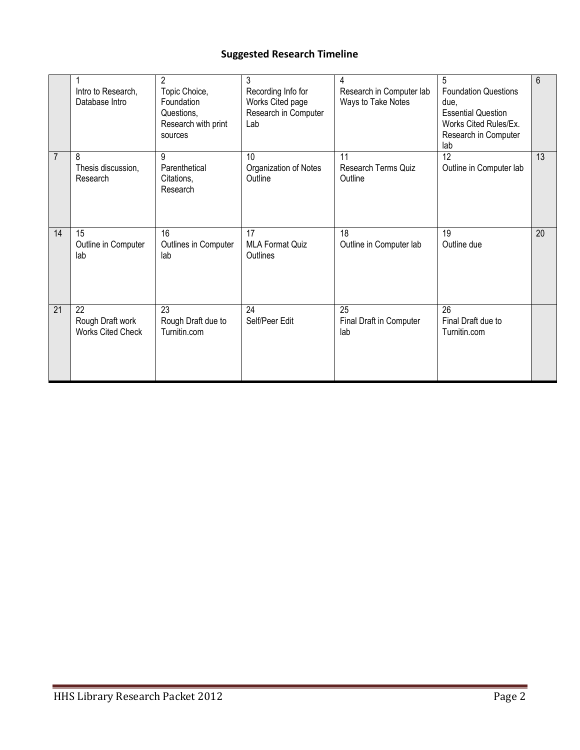## **Suggested Research Timeline**

|    | Intro to Research,<br>Database Intro               | $\mathfrak{p}$<br>Topic Choice,<br>Foundation<br>Questions,<br>Research with print<br>sources | 3<br>Recording Info for<br>Works Cited page<br>Research in Computer<br>Lab | 4<br>Research in Computer lab<br>Ways to Take Notes | 5<br><b>Foundation Questions</b><br>due,<br><b>Essential Question</b><br>Works Cited Rules/Ex.<br>Research in Computer<br>lab | $6\phantom{1}$ |
|----|----------------------------------------------------|-----------------------------------------------------------------------------------------------|----------------------------------------------------------------------------|-----------------------------------------------------|-------------------------------------------------------------------------------------------------------------------------------|----------------|
| 7  | 8<br>Thesis discussion,<br>Research                | 9<br>Parenthetical<br>Citations,<br>Research                                                  | 10<br>Organization of Notes<br>Outline                                     | 11<br><b>Research Terms Quiz</b><br>Outline         | 12<br>Outline in Computer lab                                                                                                 | 13             |
| 14 | 15<br>Outline in Computer<br>lab                   | 16<br>Outlines in Computer<br>lab                                                             | 17<br><b>MLA Format Quiz</b><br>Outlines                                   | 18<br>Outline in Computer lab                       | 19<br>Outline due                                                                                                             | 20             |
| 21 | 22<br>Rough Draft work<br><b>Works Cited Check</b> | 23<br>Rough Draft due to<br>Turnitin.com                                                      | 24<br>Self/Peer Edit                                                       | 25<br>Final Draft in Computer<br>lab                | 26<br>Final Draft due to<br>Turnitin.com                                                                                      |                |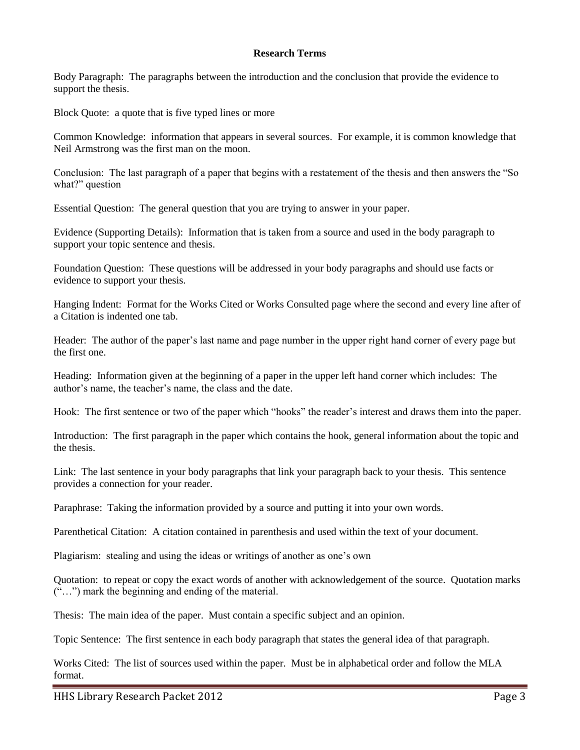#### **Research Terms**

Body Paragraph: The paragraphs between the introduction and the conclusion that provide the evidence to support the thesis.

Block Quote: a quote that is five typed lines or more

Common Knowledge: information that appears in several sources. For example, it is common knowledge that Neil Armstrong was the first man on the moon.

Conclusion: The last paragraph of a paper that begins with a restatement of the thesis and then answers the "So what?" question

Essential Question: The general question that you are trying to answer in your paper.

Evidence (Supporting Details): Information that is taken from a source and used in the body paragraph to support your topic sentence and thesis.

Foundation Question: These questions will be addressed in your body paragraphs and should use facts or evidence to support your thesis.

Hanging Indent: Format for the Works Cited or Works Consulted page where the second and every line after of a Citation is indented one tab.

Header: The author of the paper's last name and page number in the upper right hand corner of every page but the first one.

Heading: Information given at the beginning of a paper in the upper left hand corner which includes: The author's name, the teacher's name, the class and the date.

Hook: The first sentence or two of the paper which "hooks" the reader's interest and draws them into the paper.

Introduction: The first paragraph in the paper which contains the hook, general information about the topic and the thesis.

Link: The last sentence in your body paragraphs that link your paragraph back to your thesis. This sentence provides a connection for your reader.

Paraphrase: Taking the information provided by a source and putting it into your own words.

Parenthetical Citation: A citation contained in parenthesis and used within the text of your document.

Plagiarism: stealing and using the ideas or writings of another as one's own

Quotation: to repeat or copy the exact words of another with acknowledgement of the source. Quotation marks ("…") mark the beginning and ending of the material.

Thesis: The main idea of the paper. Must contain a specific subject and an opinion.

Topic Sentence: The first sentence in each body paragraph that states the general idea of that paragraph.

Works Cited: The list of sources used within the paper. Must be in alphabetical order and follow the MLA format.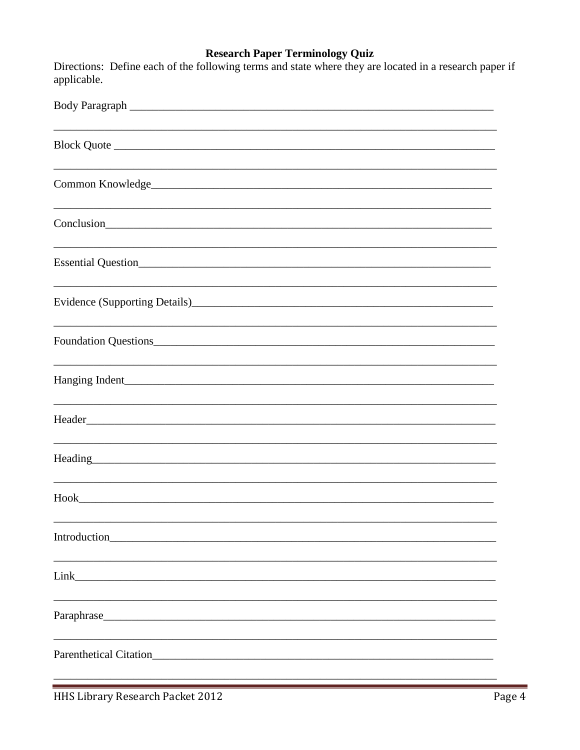## **Research Paper Terminology Quiz**

|             | Directions: Define each of the following terms and state where they are located in a research paper if |
|-------------|--------------------------------------------------------------------------------------------------------|
| applicable. |                                                                                                        |

| Body Paragraph                                                                                                                                                                                                                 |
|--------------------------------------------------------------------------------------------------------------------------------------------------------------------------------------------------------------------------------|
|                                                                                                                                                                                                                                |
|                                                                                                                                                                                                                                |
| Conclusion<br><u>Conclusion</u>                                                                                                                                                                                                |
|                                                                                                                                                                                                                                |
|                                                                                                                                                                                                                                |
|                                                                                                                                                                                                                                |
|                                                                                                                                                                                                                                |
|                                                                                                                                                                                                                                |
| Heading President President Contract Contract Contract Contract Contract Contract Contract Contract Contract Contract Contract Contract Contract Contract Contract Contract Contract Contract Contract Contract Contract Contr |
|                                                                                                                                                                                                                                |
|                                                                                                                                                                                                                                |
| Link experience and the second state of the second state of the second state of the second state of the second state of the second state of the second state of the second state of the second state of the second state of th |
|                                                                                                                                                                                                                                |
| Parenthetical Citation                                                                                                                                                                                                         |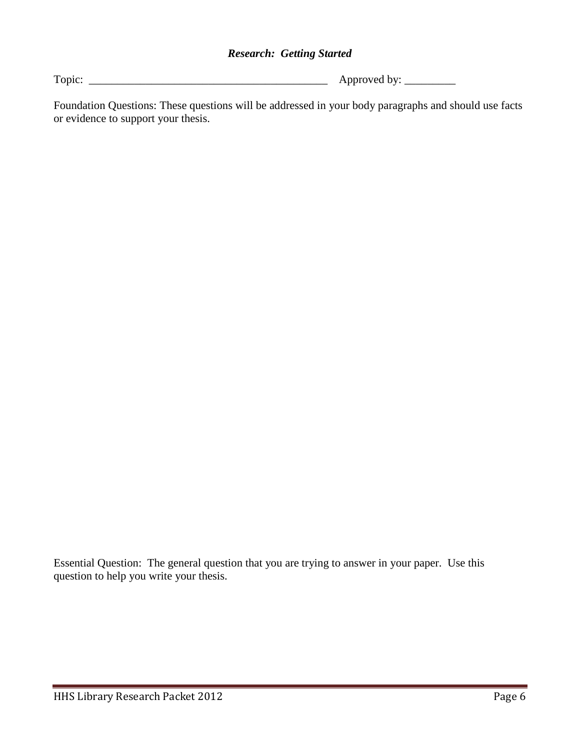#### *Research: Getting Started*

Topic: \_\_\_\_\_\_\_\_\_\_\_\_\_\_\_\_\_\_\_\_\_\_\_\_\_\_\_\_\_\_\_\_\_\_\_\_\_\_\_\_\_\_ Approved by: \_\_\_\_\_\_\_\_\_

Foundation Questions: These questions will be addressed in your body paragraphs and should use facts or evidence to support your thesis.

Essential Question: The general question that you are trying to answer in your paper. Use this question to help you write your thesis.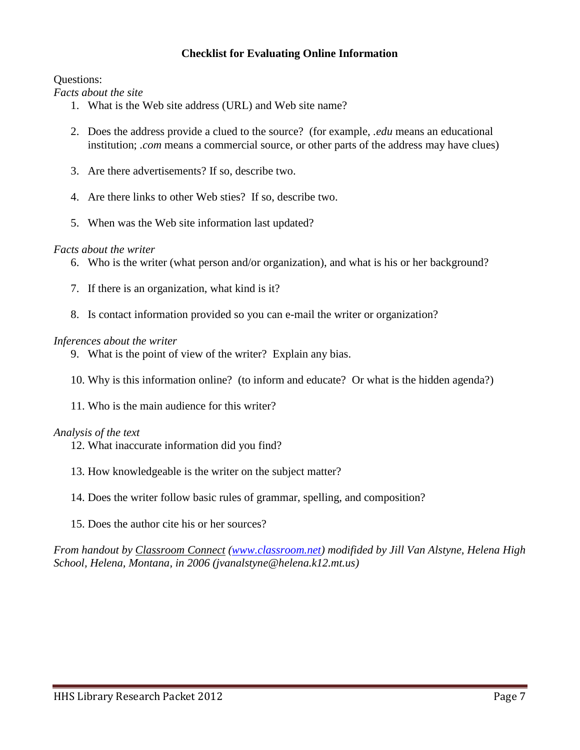#### **Checklist for Evaluating Online Information**

Questions:

*Facts about the site*

- 1. What is the Web site address (URL) and Web site name?
- 2. Does the address provide a clued to the source? (for example, *.edu* means an educational institution; *.com* means a commercial source, or other parts of the address may have clues)
- 3. Are there advertisements? If so, describe two.
- 4. Are there links to other Web sties? If so, describe two.
- 5. When was the Web site information last updated?

#### *Facts about the writer*

- 6. Who is the writer (what person and/or organization), and what is his or her background?
- 7. If there is an organization, what kind is it?
- 8. Is contact information provided so you can e-mail the writer or organization?

#### *Inferences about the writer*

- 9. What is the point of view of the writer? Explain any bias.
- 10. Why is this information online? (to inform and educate? Or what is the hidden agenda?)
- 11. Who is the main audience for this writer?

#### *Analysis of the text*

- 12. What inaccurate information did you find?
- 13. How knowledgeable is the writer on the subject matter?
- 14. Does the writer follow basic rules of grammar, spelling, and composition?
- 15. Does the author cite his or her sources?

*From handout by Classroom Connect [\(www.classroom.net\)](http://www.classroom.net/) modifided by Jill Van Alstyne, Helena High School, Helena, Montana, in 2006 (jvanalstyne@helena.k12.mt.us)*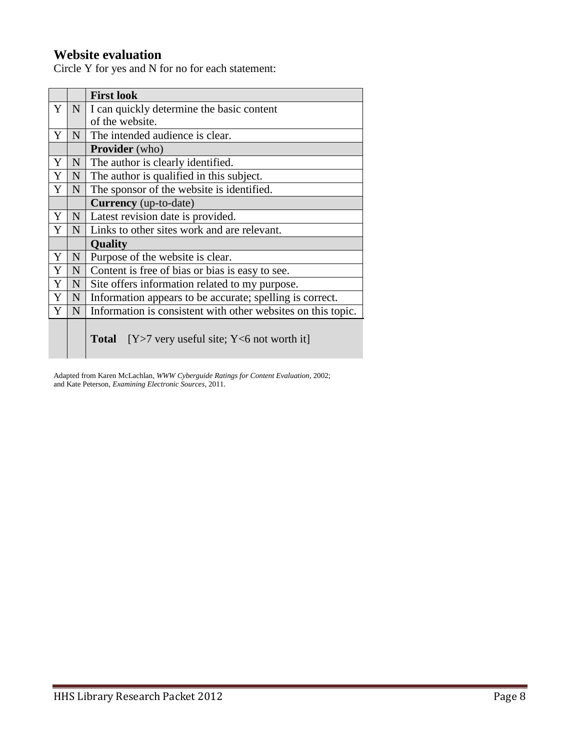## **Website evaluation**

Circle Y for yes and N for no for each statement:

|   |                 | <b>First look</b>                                            |
|---|-----------------|--------------------------------------------------------------|
| Y | N               | I can quickly determine the basic content                    |
|   |                 | of the website.                                              |
| Y | N               | The intended audience is clear.                              |
|   |                 | <b>Provider</b> (who)                                        |
| Y | ${\bf N}$       | The author is clearly identified.                            |
| Y | $\mathbf N$     | The author is qualified in this subject.                     |
| Y | N               | The sponsor of the website is identified.                    |
|   |                 | <b>Currency</b> (up-to-date)                                 |
| Y | $N_{\odot}$     | Latest revision date is provided.                            |
| Y | $N_{\parallel}$ | Links to other sites work and are relevant.                  |
|   |                 | Quality                                                      |
| Y | $\mathbf N$     | Purpose of the website is clear.                             |
| Y | $\mathbf N$     | Content is free of bias or bias is easy to see.              |
| Y | N               | Site offers information related to my purpose.               |
| Y | N               | Information appears to be accurate; spelling is correct.     |
| Y | N               | Information is consistent with other websites on this topic. |
|   |                 |                                                              |
|   |                 | <b>Total</b> $[Y>7$ very useful site; $Y<6$ not worth it     |

Adapted from Karen McLachlan, *WWW Cyberguide Ratings for Content Evaluation*, 2002; and Kate Peterson, *Examining Electronic Sources*, 2011.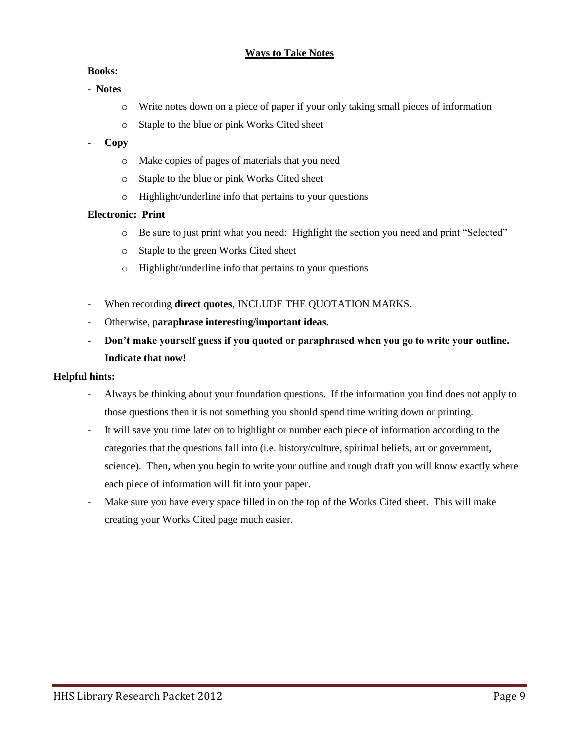#### **Ways to Take Notes**

#### **Books:**

- **Notes** 
	- o Write notes down on a piece of paper if your only taking small pieces of information
	- o Staple to the blue or pink Works Cited sheet

#### - **Copy**

- o Make copies of pages of materials that you need
- o Staple to the blue or pink Works Cited sheet
- o Highlight/underline info that pertains to your questions

#### **Electronic: Print**

- o Be sure to just print what you need: Highlight the section you need and print "Selected"
- o Staple to the green Works Cited sheet
- o Highlight/underline info that pertains to your questions
- When recording **direct quotes**, INCLUDE THE QUOTATION MARKS.
- Otherwise, p**araphrase interesting/important ideas.**
- **Don't make yourself guess if you quoted or paraphrased when you go to write your outline. Indicate that now!**

#### **Helpful hints:**

- Always be thinking about your foundation questions. If the information you find does not apply to those questions then it is not something you should spend time writing down or printing.
- It will save you time later on to highlight or number each piece of information according to the categories that the questions fall into (i.e. history/culture, spiritual beliefs, art or government, science). Then, when you begin to write your outline and rough draft you will know exactly where each piece of information will fit into your paper.
- Make sure you have every space filled in on the top of the Works Cited sheet. This will make creating your Works Cited page much easier.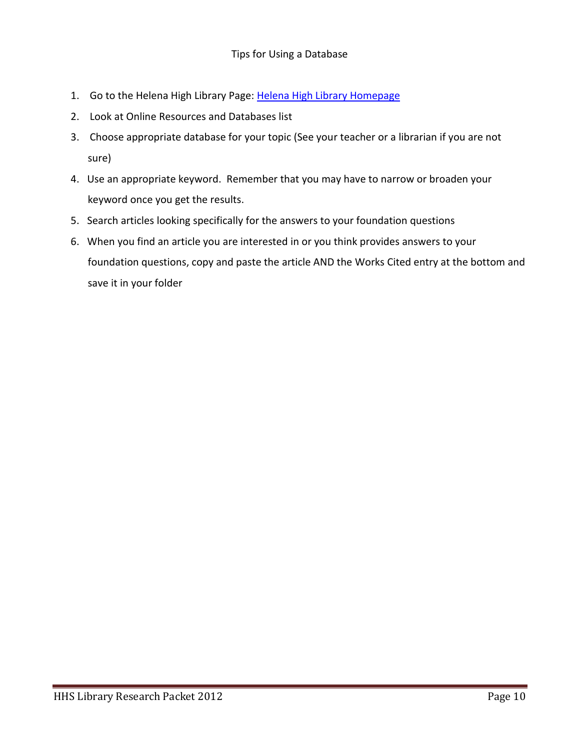- 1. Go to the Helena High Library Page: [Helena High Library Homepage](http://destiny.hsd1.org/common/servlet/presenthomeform.do;jsessionid=2B19478BC3F77B933E78A52F52A989F4?l2m=Home&tm=Home&l2m=Home)
- 2. Look at Online Resources and Databases list
- 3. Choose appropriate database for your topic (See your teacher or a librarian if you are not sure)
- 4. Use an appropriate keyword. Remember that you may have to narrow or broaden your keyword once you get the results.
- 5. Search articles looking specifically for the answers to your foundation questions
- 6. When you find an article you are interested in or you think provides answers to your foundation questions, copy and paste the article AND the Works Cited entry at the bottom and save it in your folder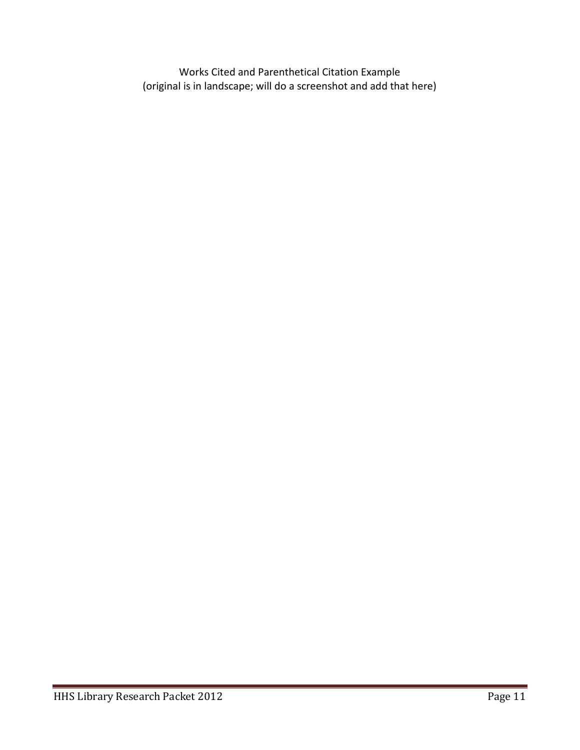Works Cited and Parenthetical Citation Example (original is in landscape; will do a screenshot and add that here)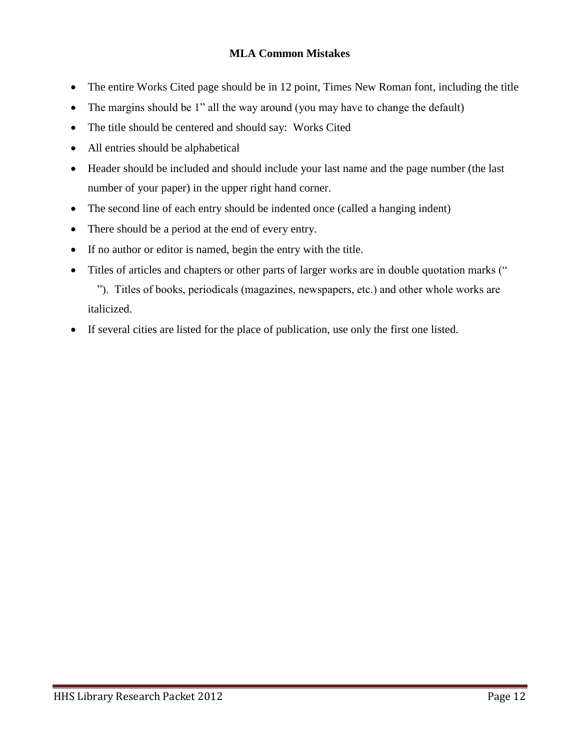#### **MLA Common Mistakes**

- The entire Works Cited page should be in 12 point, Times New Roman font, including the title
- The margins should be 1" all the way around (you may have to change the default)
- The title should be centered and should say: Works Cited
- All entries should be alphabetical
- Header should be included and should include your last name and the page number (the last number of your paper) in the upper right hand corner.
- The second line of each entry should be indented once (called a hanging indent)
- There should be a period at the end of every entry.
- If no author or editor is named, begin the entry with the title.
- Titles of articles and chapters or other parts of larger works are in double quotation marks (" "). Titles of books, periodicals (magazines, newspapers, etc.) and other whole works are italicized.
- If several cities are listed for the place of publication, use only the first one listed.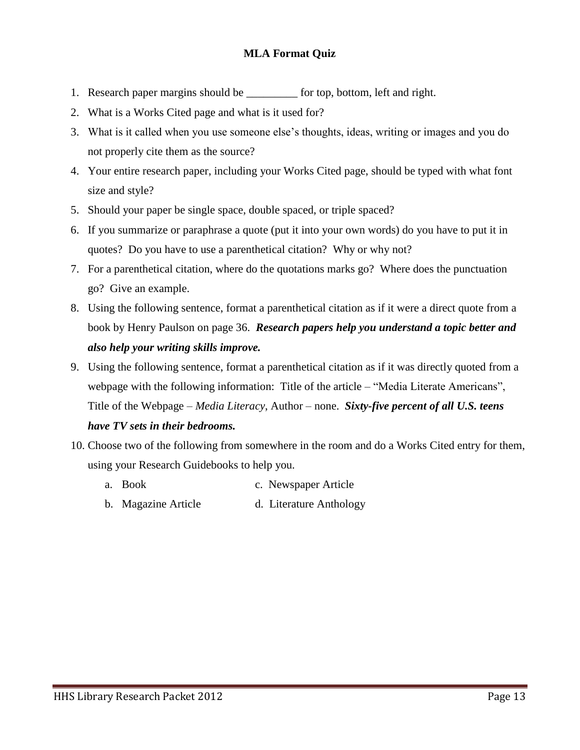#### **MLA Format Quiz**

- 1. Research paper margins should be \_\_\_\_\_\_\_\_\_ for top, bottom, left and right.
- 2. What is a Works Cited page and what is it used for?
- 3. What is it called when you use someone else's thoughts, ideas, writing or images and you do not properly cite them as the source?
- 4. Your entire research paper, including your Works Cited page, should be typed with what font size and style?
- 5. Should your paper be single space, double spaced, or triple spaced?
- 6. If you summarize or paraphrase a quote (put it into your own words) do you have to put it in quotes? Do you have to use a parenthetical citation? Why or why not?
- 7. For a parenthetical citation, where do the quotations marks go? Where does the punctuation go? Give an example.
- 8. Using the following sentence, format a parenthetical citation as if it were a direct quote from a book by Henry Paulson on page 36. *Research papers help you understand a topic better and also help your writing skills improve.*
- 9. Using the following sentence, format a parenthetical citation as if it was directly quoted from a webpage with the following information: Title of the article – "Media Literate Americans", Title of the Webpage – *Media Literacy*, Author – none. *Sixty-five percent of all U.S. teens*

#### *have TV sets in their bedrooms.*

- 10. Choose two of the following from somewhere in the room and do a Works Cited entry for them, using your Research Guidebooks to help you.
	- a. Book c. Newspaper Article
	- b. Magazine Article d. Literature Anthology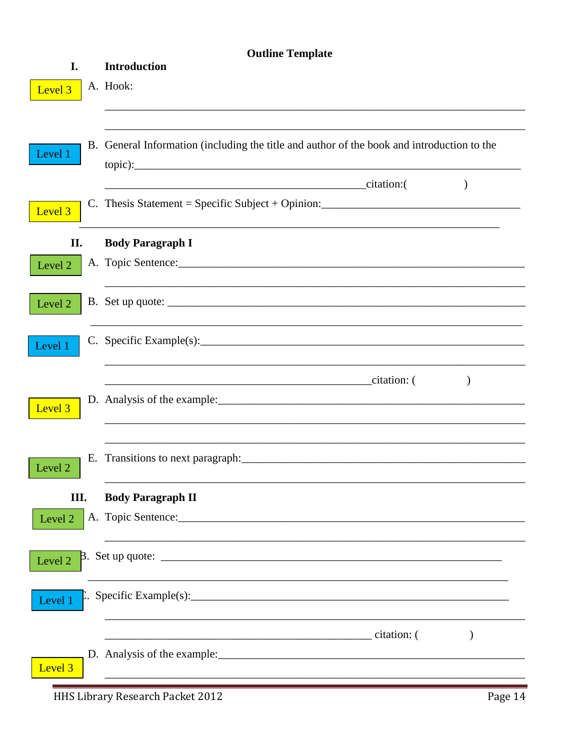|                    | <b>Outline Template</b>                                                                                                                            |
|--------------------|----------------------------------------------------------------------------------------------------------------------------------------------------|
| I.                 | <b>Introduction</b>                                                                                                                                |
| Level 3            | A. Hook:                                                                                                                                           |
| Level 1            | B. General Information (including the title and author of the book and introduction to the<br>citation:(                                           |
| Level <sub>3</sub> | C. Thesis Statement = Specific Subject + Opinion:                                                                                                  |
| П.                 | <b>Body Paragraph I</b>                                                                                                                            |
| Level 2            |                                                                                                                                                    |
| Level 2            |                                                                                                                                                    |
| Level 1            |                                                                                                                                                    |
| Level <sub>3</sub> | citation: (<br>$\lambda$<br><u> Alexandro Alexandro Alexandro Alexandro Alexandro Alexandro Alexandro Alexandro Alexandro Alexandro Alexandro </u> |
| Level 2            |                                                                                                                                                    |
| III.               | <b>Body Paragraph II</b>                                                                                                                           |
| Level 2            |                                                                                                                                                    |
| Level 2            |                                                                                                                                                    |
| Level 1            |                                                                                                                                                    |
| Level <sub>3</sub> | citation: (                                                                                                                                        |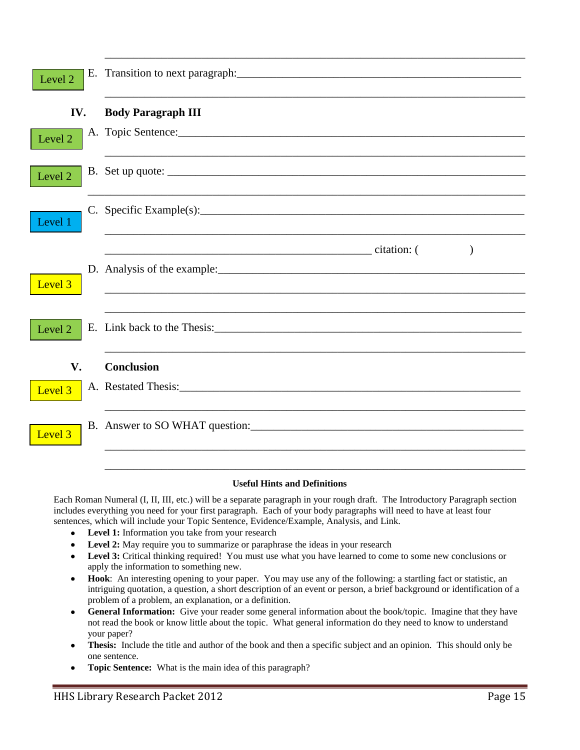| Level 2            |                                                                                                                                                                                                                                |
|--------------------|--------------------------------------------------------------------------------------------------------------------------------------------------------------------------------------------------------------------------------|
| IV.                | <b>Body Paragraph III</b>                                                                                                                                                                                                      |
| Level 2            |                                                                                                                                                                                                                                |
| Level 2            |                                                                                                                                                                                                                                |
| Level 1            | C. Specific Example(s): $\qquad \qquad$                                                                                                                                                                                        |
| Level 3            | $)$                                                                                                                                                                                                                            |
| Level 2            |                                                                                                                                                                                                                                |
| V.                 | <b>Conclusion</b>                                                                                                                                                                                                              |
| Level 3            | A. Restated Thesis: No. 1996. The Second State of the Second State of the Second State of the Second State of the Second State of the Second State of the Second State of the Second State of the Second State of the Second S |
| Level <sub>3</sub> | B. Answer to SO WHAT question:                                                                                                                                                                                                 |
|                    |                                                                                                                                                                                                                                |

#### **Useful Hints and Definitions**

Each Roman Numeral (I, II, III, etc.) will be a separate paragraph in your rough draft. The Introductory Paragraph section includes everything you need for your first paragraph. Each of your body paragraphs will need to have at least four sentences, which will include your Topic Sentence, Evidence/Example, Analysis, and Link.

- **Level 1:** Information you take from your research
- Level 2: May require you to summarize or paraphrase the ideas in your research
- **Level 3:** Critical thinking required! You must use what you have learned to come to some new conclusions or apply the information to something new.
- **Hook**: An interesting opening to your paper. You may use any of the following: a startling fact or statistic, an intriguing quotation, a question, a short description of an event or person, a brief background or identification of a problem of a problem, an explanation, or a definition.
- **General Information:** Give your reader some general information about the book/topic. Imagine that they have not read the book or know little about the topic. What general information do they need to know to understand your paper?
- **Thesis:** Include the title and author of the book and then a specific subject and an opinion. This should only be one sentence.
- **Topic Sentence:** What is the main idea of this paragraph?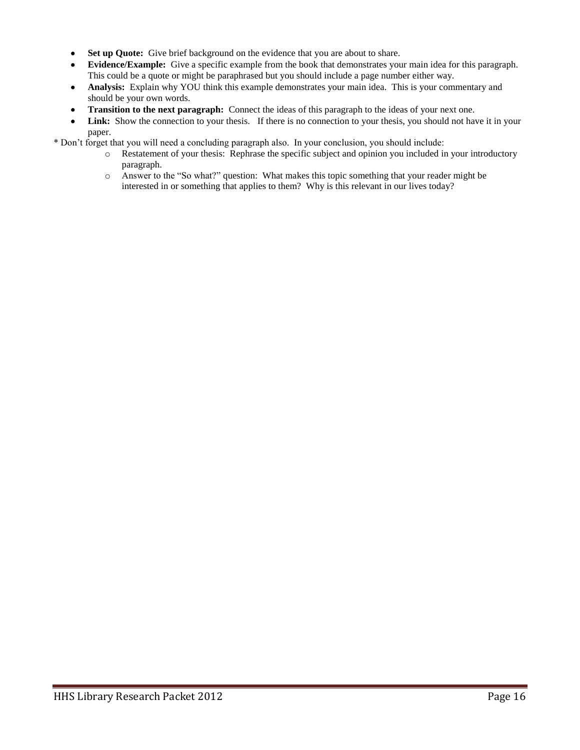- **Set up Quote:** Give brief background on the evidence that you are about to share.
- **Evidence/Example:** Give a specific example from the book that demonstrates your main idea for this paragraph. This could be a quote or might be paraphrased but you should include a page number either way.
- **Analysis:** Explain why YOU think this example demonstrates your main idea. This is your commentary and should be your own words.
- **Transition to the next paragraph:** Connect the ideas of this paragraph to the ideas of your next one.
- Link: Show the connection to your thesis. If there is no connection to your thesis, you should not have it in your paper.

\* Don't forget that you will need a concluding paragraph also. In your conclusion, you should include:

- o Restatement of your thesis: Rephrase the specific subject and opinion you included in your introductory paragraph.
- o Answer to the "So what?" question: What makes this topic something that your reader might be interested in or something that applies to them? Why is this relevant in our lives today?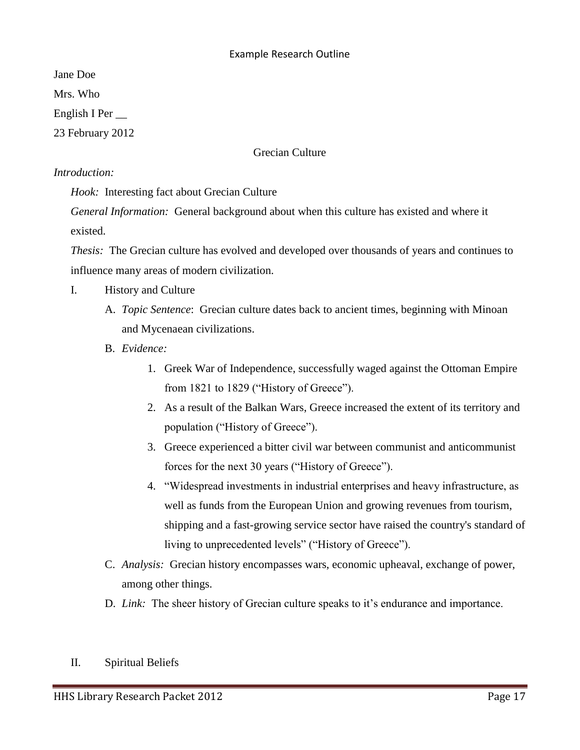#### Example Research Outline

Jane Doe

Mrs. Who

English I Per \_\_

23 February 2012

#### Grecian Culture

#### *Introduction:*

*Hook:* Interesting fact about Grecian Culture

*General Information:* General background about when this culture has existed and where it existed.

*Thesis:* The Grecian culture has evolved and developed over thousands of years and continues to influence many areas of modern civilization.

- I. History and Culture
	- A. *Topic Sentence*: Grecian culture dates back to ancient times, beginning with Minoan and Mycenaean civilizations.
	- B. *Evidence:*
		- 1. [Greek War of Independence,](http://en.wikipedia.org/wiki/Greek_War_of_Independence) successfully waged against the [Ottoman Empire](http://en.wikipedia.org/wiki/Ottoman_Empire) from 1821 to 1829 ("History of Greece").
		- 2. As a result of the [Balkan Wars,](http://en.wikipedia.org/wiki/Balkan_Wars) Greece increased the extent of its territory and population ("History of Greece").
		- 3. Greece experienced a bitter [civil war](http://en.wikipedia.org/wiki/Greek_Civil_War) between [communist](http://en.wikipedia.org/wiki/Communism) and [anticommunist](http://en.wikipedia.org/wiki/Anticommunist) forces for the next 30 years ("History of Greece").
		- 4. "Widespread investments in industrial enterprises and heavy infrastructure, as well as funds from the European Union and growing revenues from tourism, shipping and a fast-growing service sector have raised the country's standard of living to unprecedented levels" ("History of Greece").
	- C. *Analysis:* Grecian history encompasses wars, economic upheaval, exchange of power, among other things.
	- D. *Link:* The sheer history of Grecian culture speaks to it's endurance and importance.
- II. Spiritual Beliefs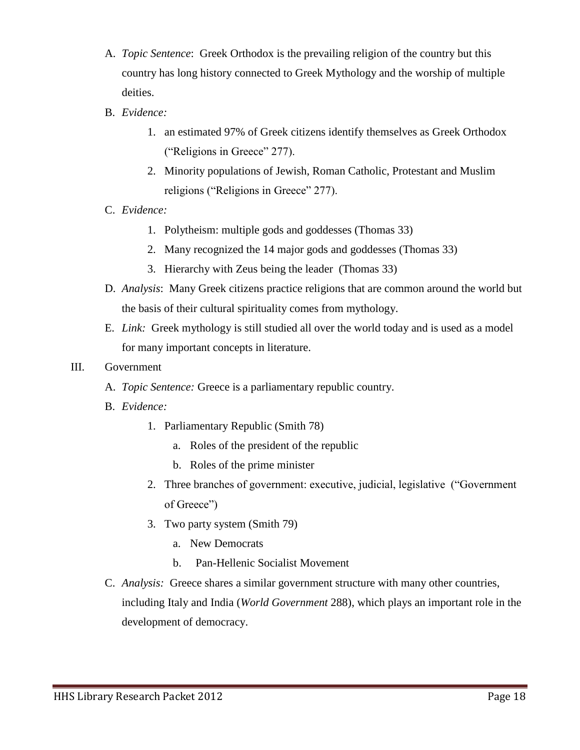- A. *Topic Sentence*: Greek Orthodox is the prevailing religion of the country but this country has long history connected to Greek Mythology and the worship of multiple deities.
- B. *Evidence:*
	- 1. an estimated 97% of Greek citizens identify themselves as [Greek Orthodox](http://en.wikipedia.org/wiki/Greek_Orthodox_Church) ("Religions in Greece" 277).
	- 2. Minority populations of Jewish, Roman Catholic, Protestant and Muslim religions ("Religions in Greece" 277).
- C. *Evidence:*
	- 1. Polytheism: multiple gods and goddesses (Thomas 33)
	- 2. Many recognized the 14 major gods and goddesses (Thomas 33)
	- 3. Hierarchy with Zeus being the leader (Thomas 33)
- D. *Analysis*: Many Greek citizens practice religions that are common around the world but the basis of their cultural spirituality comes from mythology.
- E. *Link:* Greek mythology is still studied all over the world today and is used as a model for many important concepts in literature.

#### III. Government

- A. *Topic Sentence:* Greece is a parliamentary republic country.
- B. *Evidence:*
	- 1. Parliamentary Republic (Smith 78)
		- a. Roles of the president of the republic
		- b. Roles of the prime minister
	- 2. Three branches of government: executive, judicial, legislative ("Government of Greece")
	- 3. Two party system (Smith 79)
		- a. New Democrats
		- b. [Pan-Hellenic Socialist Movement](http://en.wikipedia.org/wiki/Panhellenic_Socialist_Movement)
- C. *Analysis:* Greece shares a similar government structure with many other countries, including Italy and India (*World Government* 288), which plays an important role in the development of democracy.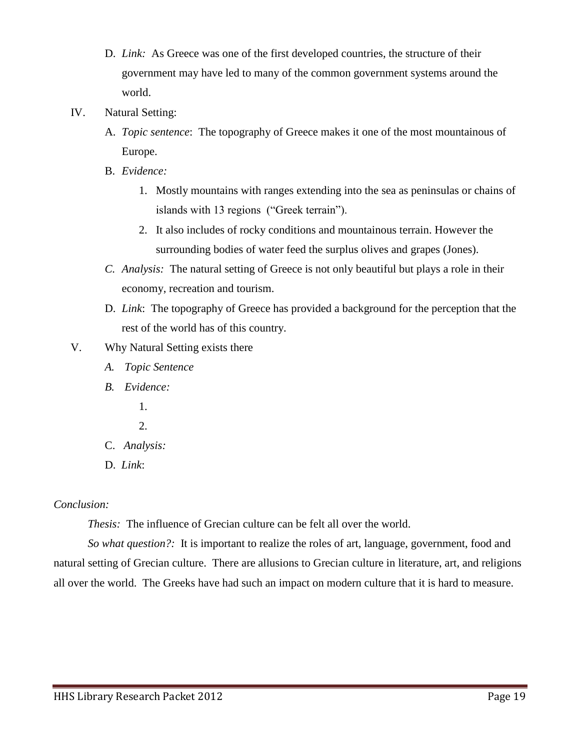- D. *Link:* As Greece was one of the first developed countries, the structure of their government may have led to many of the common government systems around the world.
- IV. Natural Setting:
	- A. *Topic sentence*: The topography of Greece makes it one of the most mountainous of Europe.
	- B. *Evidence:*
		- 1. Mostly mountains with ranges extending into the sea as peninsulas or chains of islands with 13 regions ("Greek terrain").
		- 2. It also includes of rocky conditions and mountainous terrain. However the surrounding bodies of water feed the surplus olives and grapes (Jones).
	- *C. Analysis:* The natural setting of Greece is not only beautiful but plays a role in their economy, recreation and tourism.
	- D. *Link*: The topography of Greece has provided a background for the perception that the rest of the world has of this country.
- V. Why Natural Setting exists there
	- *A. Topic Sentence*
	- *B. Evidence:* 
		- 1.
		- 2.
	- C. *Analysis:*
	- D. *Link*:

## *Conclusion:*

*Thesis:* The influence of Grecian culture can be felt all over the world.

*So what question?:* It is important to realize the roles of art, language, government, food and natural setting of Grecian culture. There are allusions to Grecian culture in literature, art, and religions all over the world. The Greeks have had such an impact on modern culture that it is hard to measure.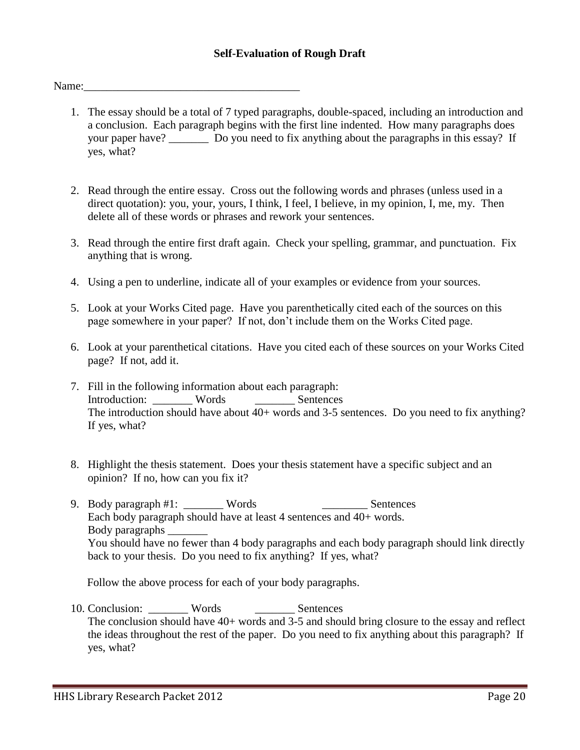#### **Self-Evaluation of Rough Draft**

Name:

- 1. The essay should be a total of 7 typed paragraphs, double-spaced, including an introduction and a conclusion. Each paragraph begins with the first line indented. How many paragraphs does your paper have? Do you need to fix anything about the paragraphs in this essay? If yes, what?
- 2. Read through the entire essay. Cross out the following words and phrases (unless used in a direct quotation): you, your, yours, I think, I feel, I believe, in my opinion, I, me, my. Then delete all of these words or phrases and rework your sentences.
- 3. Read through the entire first draft again. Check your spelling, grammar, and punctuation. Fix anything that is wrong.
- 4. Using a pen to underline, indicate all of your examples or evidence from your sources.
- 5. Look at your Works Cited page. Have you parenthetically cited each of the sources on this page somewhere in your paper? If not, don't include them on the Works Cited page.
- 6. Look at your parenthetical citations. Have you cited each of these sources on your Works Cited page? If not, add it.
- 7. Fill in the following information about each paragraph: Introduction: Words Sentences The introduction should have about 40+ words and 3-5 sentences. Do you need to fix anything? If yes, what?
- 8. Highlight the thesis statement. Does your thesis statement have a specific subject and an opinion? If no, how can you fix it?
- 9. Body paragraph #1: Words \_\_\_\_\_\_\_\_ Words \_\_\_\_\_\_\_\_\_\_ Sentences Each body paragraph should have at least 4 sentences and 40+ words. Body paragraphs \_\_\_\_\_\_\_ You should have no fewer than 4 body paragraphs and each body paragraph should link directly back to your thesis. Do you need to fix anything? If yes, what?

Follow the above process for each of your body paragraphs.

10. Conclusion: Words \_\_\_\_\_\_\_\_ Sentences The conclusion should have 40+ words and 3-5 and should bring closure to the essay and reflect the ideas throughout the rest of the paper. Do you need to fix anything about this paragraph? If yes, what?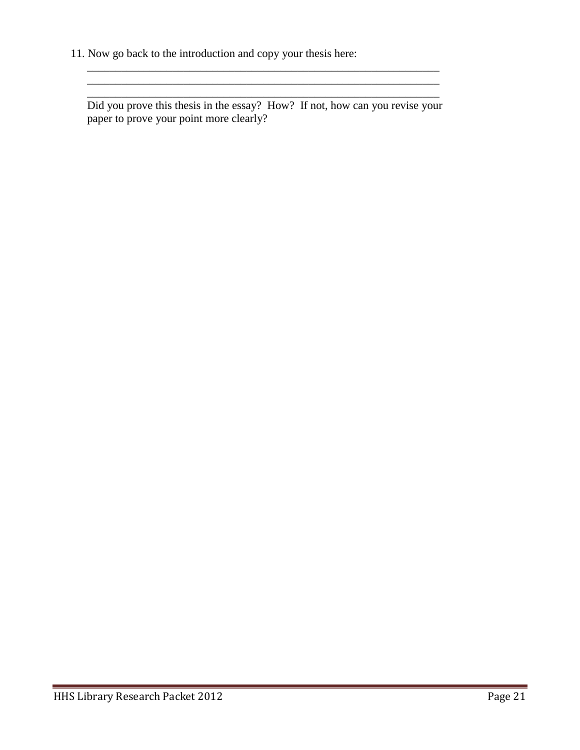11. Now go back to the introduction and copy your thesis here:

Did you prove this thesis in the essay? How? If not, how can you revise your paper to prove your point more clearly?

\_\_\_\_\_\_\_\_\_\_\_\_\_\_\_\_\_\_\_\_\_\_\_\_\_\_\_\_\_\_\_\_\_\_\_\_\_\_\_\_\_\_\_\_\_\_\_\_\_\_\_\_\_\_\_\_\_\_\_\_\_\_ \_\_\_\_\_\_\_\_\_\_\_\_\_\_\_\_\_\_\_\_\_\_\_\_\_\_\_\_\_\_\_\_\_\_\_\_\_\_\_\_\_\_\_\_\_\_\_\_\_\_\_\_\_\_\_\_\_\_\_\_\_\_ \_\_\_\_\_\_\_\_\_\_\_\_\_\_\_\_\_\_\_\_\_\_\_\_\_\_\_\_\_\_\_\_\_\_\_\_\_\_\_\_\_\_\_\_\_\_\_\_\_\_\_\_\_\_\_\_\_\_\_\_\_\_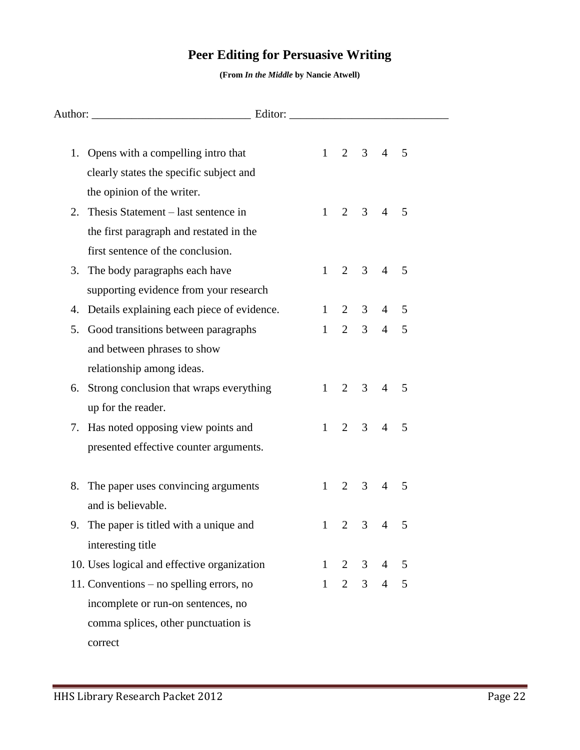# **Peer Editing for Persuasive Writing**

**(From** *In the Middle* **by Nancie Atwell)**

|    | 1. Opens with a compelling intro that       |              | $1 \t2 \t3 \t4$ |                |                 | 5 |  |  |
|----|---------------------------------------------|--------------|-----------------|----------------|-----------------|---|--|--|
|    | clearly states the specific subject and     |              |                 |                |                 |   |  |  |
|    | the opinion of the writer.                  |              |                 |                |                 |   |  |  |
|    | 2. Thesis Statement – last sentence in      | $1 -$        |                 | $2 \quad 3$    | $\overline{4}$  | 5 |  |  |
|    | the first paragraph and restated in the     |              |                 |                |                 |   |  |  |
|    | first sentence of the conclusion.           |              |                 |                |                 |   |  |  |
|    | 3. The body paragraphs each have            | $1 -$        | $\overline{2}$  |                | $3 \quad 4$     | 5 |  |  |
|    | supporting evidence from your research      |              |                 |                |                 |   |  |  |
| 4. | Details explaining each piece of evidence.  | $\mathbf{1}$ | $\overline{2}$  | 3 <sup>7</sup> | 4               | 5 |  |  |
| 5. | Good transitions between paragraphs         | $\mathbf{1}$ | $\overline{2}$  | 3 <sup>1</sup> | $\overline{4}$  | 5 |  |  |
|    | and between phrases to show                 |              |                 |                |                 |   |  |  |
|    | relationship among ideas.                   |              |                 |                |                 |   |  |  |
| 6. | Strong conclusion that wraps everything     | 1            | $\overline{2}$  | 3 <sup>1</sup> | $\overline{4}$  | 5 |  |  |
|    | up for the reader.                          |              |                 |                |                 |   |  |  |
|    | 7. Has noted opposing view points and       | $1 -$        |                 | $2 \quad 3$    | $\overline{4}$  | 5 |  |  |
|    | presented effective counter arguments.      |              |                 |                |                 |   |  |  |
|    |                                             |              |                 |                |                 |   |  |  |
|    | 8. The paper uses convincing arguments      | $1 -$        | 2               | 3 <sup>7</sup> | $\overline{4}$  | 5 |  |  |
|    | and is believable.                          |              |                 |                |                 |   |  |  |
|    | 9. The paper is titled with a unique and    | $\mathbf{1}$ | $\overline{2}$  | 3              | $\overline{4}$  | 5 |  |  |
|    | interesting title                           |              |                 |                |                 |   |  |  |
|    | 10. Uses logical and effective organization |              |                 |                | $1 \t2 \t3 \t4$ | 5 |  |  |
|    | 11. Conventions – no spelling errors, no    | $1 -$        |                 |                | $2 \t3 \t4 \t5$ |   |  |  |
|    | incomplete or run-on sentences, no          |              |                 |                |                 |   |  |  |
|    | comma splices, other punctuation is         |              |                 |                |                 |   |  |  |
|    | correct                                     |              |                 |                |                 |   |  |  |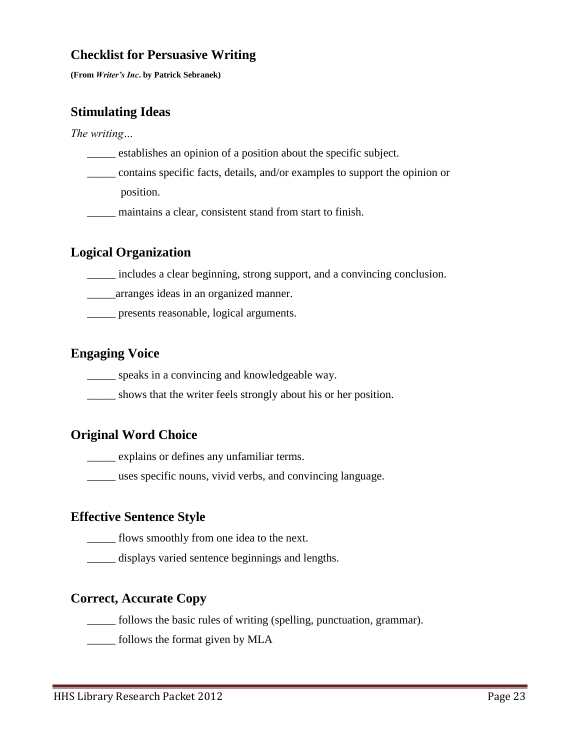## **Checklist for Persuasive Writing**

**(From** *Writer's Inc***. by Patrick Sebranek)**

## **Stimulating Ideas**

*The writing…*

- \_\_\_\_\_ establishes an opinion of a position about the specific subject.
- \_\_\_\_\_ contains specific facts, details, and/or examples to support the opinion or position.
- \_\_\_\_\_ maintains a clear, consistent stand from start to finish.

## **Logical Organization**

- \_\_\_\_\_ includes a clear beginning, strong support, and a convincing conclusion.
- \_\_\_\_\_arranges ideas in an organized manner.
- \_\_\_\_\_ presents reasonable, logical arguments.

## **Engaging Voice**

- \_\_\_\_\_ speaks in a convincing and knowledgeable way.
- \_\_\_\_\_ shows that the writer feels strongly about his or her position.

### **Original Word Choice**

\_\_\_\_\_ explains or defines any unfamiliar terms.

\_\_\_\_\_ uses specific nouns, vivid verbs, and convincing language.

## **Effective Sentence Style**

\_\_\_\_\_ flows smoothly from one idea to the next.

\_\_\_\_\_ displays varied sentence beginnings and lengths.

## **Correct, Accurate Copy**

\_\_\_\_\_ follows the basic rules of writing (spelling, punctuation, grammar).

\_\_\_\_\_ follows the format given by MLA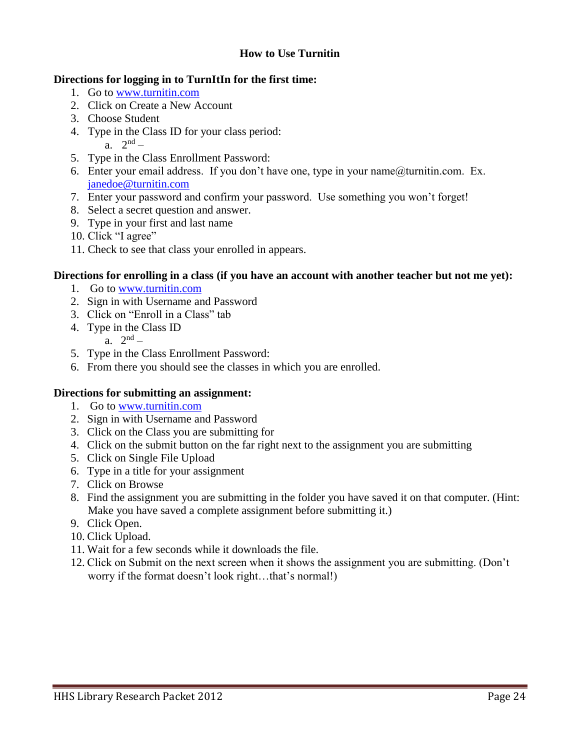#### **How to Use Turnitin**

#### **Directions for logging in to TurnItIn for the first time:**

- 1. Go to [www.turnitin.com](http://www.turnitin.com/)
- 2. Click on Create a New Account
- 3. Choose Student
- 4. Type in the Class ID for your class period: a.  $2^{nd}$  –
- 5. Type in the Class Enrollment Password:
- 6. Enter your email address. If you don't have one, type in your name  $@$  turnitin.com. Ex. [janedoe@turnitin.com](mailto:janedoe@turnitin.com)
- 7. Enter your password and confirm your password. Use something you won't forget!
- 8. Select a secret question and answer.
- 9. Type in your first and last name
- 10. Click "I agree"
- 11. Check to see that class your enrolled in appears.

#### **Directions for enrolling in a class (if you have an account with another teacher but not me yet):**

- 1. Go to [www.turnitin.com](http://www.turnitin.com/)
- 2. Sign in with Username and Password
- 3. Click on "Enroll in a Class" tab
- 4. Type in the Class ID
	- a.  $2^{nd}$  –
- 5. Type in the Class Enrollment Password:
- 6. From there you should see the classes in which you are enrolled.

#### **Directions for submitting an assignment:**

- 1. Go to [www.turnitin.com](http://www.turnitin.com/)
- 2. Sign in with Username and Password
- 3. Click on the Class you are submitting for
- 4. Click on the submit button on the far right next to the assignment you are submitting
- 5. Click on Single File Upload
- 6. Type in a title for your assignment
- 7. Click on Browse
- 8. Find the assignment you are submitting in the folder you have saved it on that computer. (Hint: Make you have saved a complete assignment before submitting it.)
- 9. Click Open.
- 10. Click Upload.
- 11. Wait for a few seconds while it downloads the file.
- 12. Click on Submit on the next screen when it shows the assignment you are submitting. (Don't worry if the format doesn't look right…that's normal!)